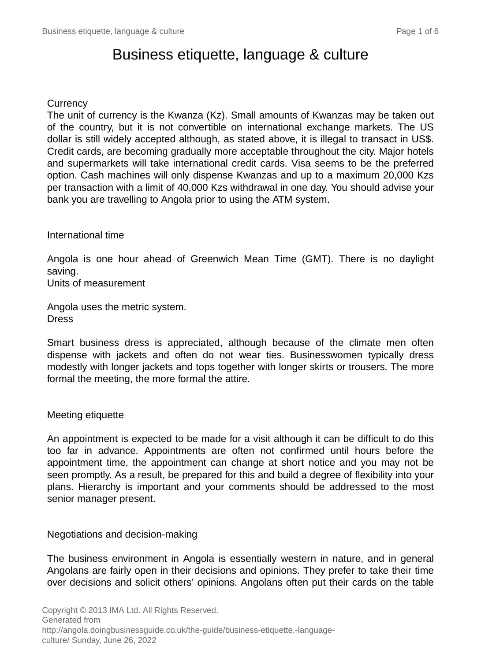# Business etiquette, language & culture

### **Currency**

The unit of currency is the Kwanza (Kz). Small amounts of Kwanzas may be taken out of the country, but it is not convertible on international exchange markets. The US dollar is still widely accepted although, as stated above, it is illegal to transact in US\$. Credit cards, are becoming gradually more acceptable throughout the city. Major hotels and supermarkets will take international credit cards. Visa seems to be the preferred option. Cash machines will only dispense Kwanzas and up to a maximum 20,000 Kzs per transaction with a limit of 40,000 Kzs withdrawal in one day. You should advise your bank you are travelling to Angola prior to using the ATM system.

International time

Angola is one hour ahead of Greenwich Mean Time (GMT). There is no daylight saving.

Units of measurement

Angola uses the metric system. **Dress** 

Smart business dress is appreciated, although because of the climate men often dispense with jackets and often do not wear ties. Businesswomen typically dress modestly with longer jackets and tops together with longer skirts or trousers. The more formal the meeting, the more formal the attire.

### Meeting etiquette

An appointment is expected to be made for a visit although it can be difficult to do this too far in advance. Appointments are often not confirmed until hours before the appointment time, the appointment can change at short notice and you may not be seen promptly. As a result, be prepared for this and build a degree of flexibility into your plans. Hierarchy is important and your comments should be addressed to the most senior manager present.

Negotiations and decision-making

The business environment in Angola is essentially western in nature, and in general Angolans are fairly open in their decisions and opinions. They prefer to take their time over decisions and solicit others' opinions. Angolans often put their cards on the table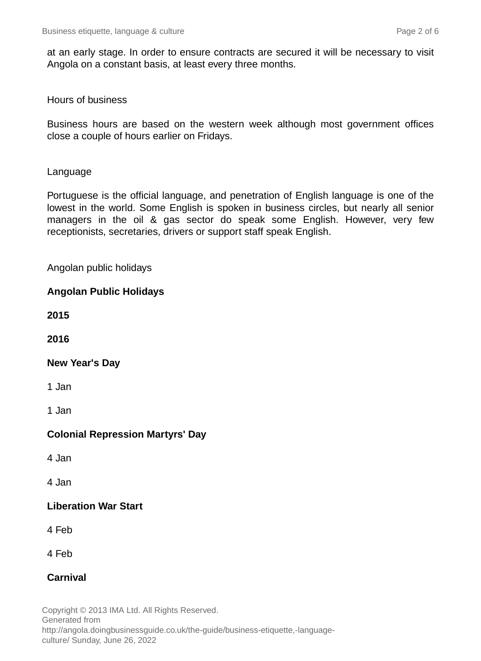at an early stage. In order to ensure contracts are secured it will be necessary to visit Angola on a constant basis, at least every three months.

#### Hours of business

Business hours are based on the western week although most government offices close a couple of hours earlier on Fridays.

#### Language

Portuguese is the official language, and penetration of English language is one of the lowest in the world. Some English is spoken in business circles, but nearly all senior managers in the oil & gas sector do speak some English. However, very few receptionists, secretaries, drivers or support staff speak English.

### Angolan public holidays

### **Angolan Public Holidays**

**2015**

**2016**

### **New Year's Day**

1 Jan

1 Jan

### **Colonial Repression Martyrs' Day**

4 Jan

4 Jan

### **Liberation War Start**

4 Feb

4 Feb

### **Carnival**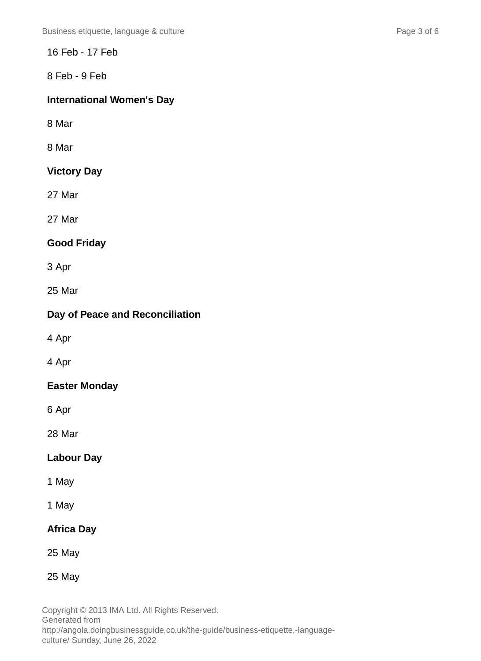16 Feb - 17 Feb

8 Feb - 9 Feb

# **International Women's Day**

8 Mar

8 Mar

# **Victory Day**

27 Mar

27 Mar

# **Good Friday**

3 Apr

25 Mar

# **Day of Peace and Reconciliation**

4 Apr

4 Apr

# **Easter Monday**

6 Apr

28 Mar

# **Labour Day**

1 May

1 May

# **Africa Day**

25 May

25 May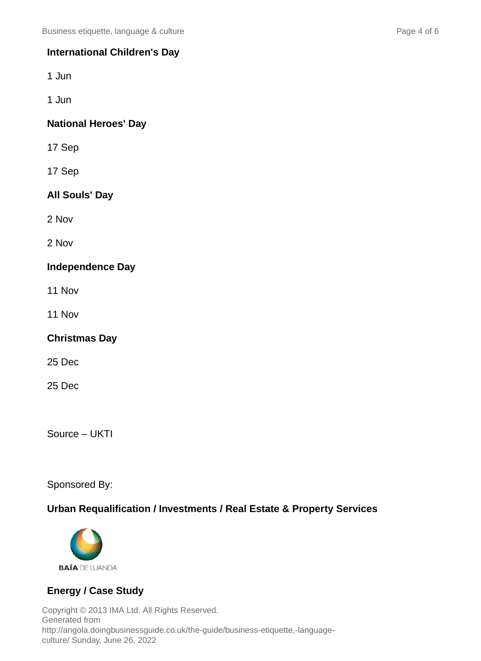### **International Children's Day**

1 Jun

1 Jun

### **National Heroes' Day**

17 Sep

17 Sep

### **All Souls' Day**

2 Nov

2 Nov

### **Independence Day**

- 11 Nov
- 11 Nov

### **Christmas Day**

25 Dec

25 Dec

Source – UKTI

Sponsored By:

### **Urban Requalification / Investments / Real Estate & Property Services**



### **Energy / Case Study**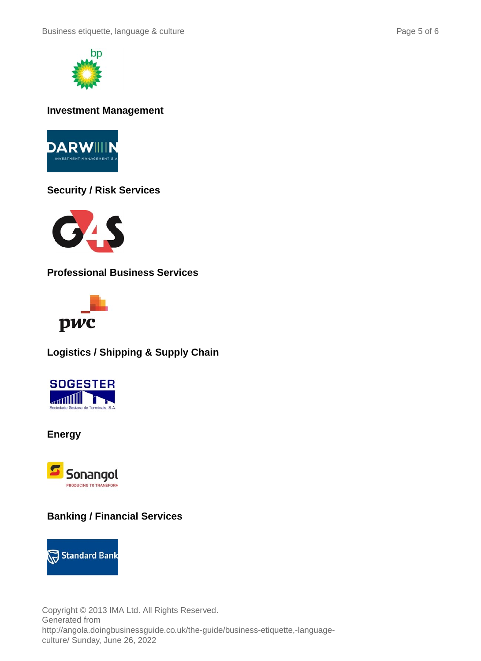



### **Investment Management**



### **Security / Risk Services**



**Professional Business Services**



**Logistics / Shipping & Supply Chain**



**Energy**



# **Banking / Financial Services**